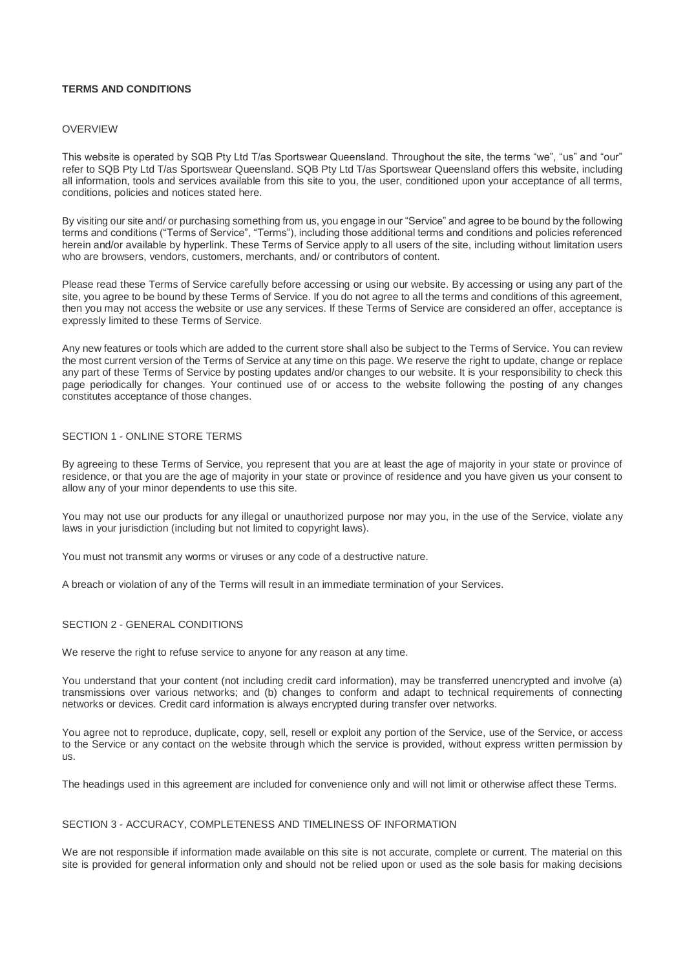## **TERMS AND CONDITIONS**

#### OVERVIEW

This website is operated by SQB Pty Ltd T/as Sportswear Queensland. Throughout the site, the terms "we", "us" and "our" refer to SQB Pty Ltd T/as Sportswear Queensland. SQB Pty Ltd T/as Sportswear Queensland offers this website, including all information, tools and services available from this site to you, the user, conditioned upon your acceptance of all terms, conditions, policies and notices stated here.

By visiting our site and/ or purchasing something from us, you engage in our "Service" and agree to be bound by the following terms and conditions ("Terms of Service", "Terms"), including those additional terms and conditions and policies referenced herein and/or available by hyperlink. These Terms of Service apply to all users of the site, including without limitation users who are browsers, vendors, customers, merchants, and/ or contributors of content.

Please read these Terms of Service carefully before accessing or using our website. By accessing or using any part of the site, you agree to be bound by these Terms of Service. If you do not agree to all the terms and conditions of this agreement, then you may not access the website or use any services. If these Terms of Service are considered an offer, acceptance is expressly limited to these Terms of Service.

Any new features or tools which are added to the current store shall also be subject to the Terms of Service. You can review the most current version of the Terms of Service at any time on this page. We reserve the right to update, change or replace any part of these Terms of Service by posting updates and/or changes to our website. It is your responsibility to check this page periodically for changes. Your continued use of or access to the website following the posting of any changes constitutes acceptance of those changes.

# SECTION 1 - ONLINE STORE TERMS

By agreeing to these Terms of Service, you represent that you are at least the age of majority in your state or province of residence, or that you are the age of majority in your state or province of residence and you have given us your consent to allow any of your minor dependents to use this site.

You may not use our products for any illegal or unauthorized purpose nor may you, in the use of the Service, violate any laws in your jurisdiction (including but not limited to copyright laws).

You must not transmit any worms or viruses or any code of a destructive nature.

A breach or violation of any of the Terms will result in an immediate termination of your Services.

#### SECTION 2 - GENERAL CONDITIONS

We reserve the right to refuse service to anyone for any reason at any time.

You understand that your content (not including credit card information), may be transferred unencrypted and involve (a) transmissions over various networks; and (b) changes to conform and adapt to technical requirements of connecting networks or devices. Credit card information is always encrypted during transfer over networks.

You agree not to reproduce, duplicate, copy, sell, resell or exploit any portion of the Service, use of the Service, or access to the Service or any contact on the website through which the service is provided, without express written permission by us.

The headings used in this agreement are included for convenience only and will not limit or otherwise affect these Terms.

# SECTION 3 - ACCURACY, COMPLETENESS AND TIMELINESS OF INFORMATION

We are not responsible if information made available on this site is not accurate, complete or current. The material on this site is provided for general information only and should not be relied upon or used as the sole basis for making decisions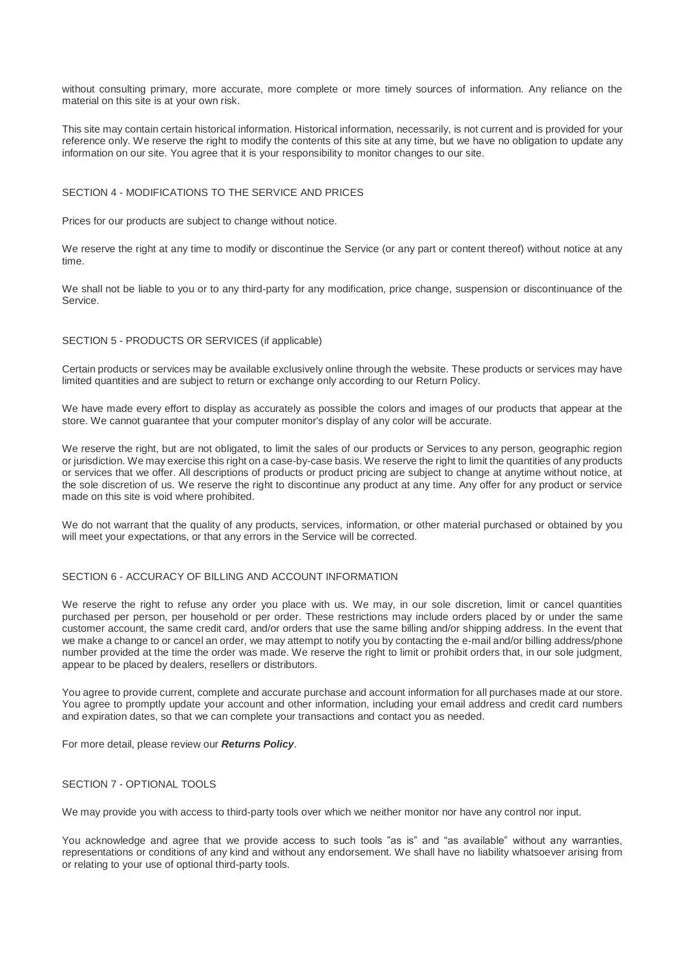without consulting primary, more accurate, more complete or more timely sources of information. Any reliance on the material on this site is at your own risk.

This site may contain certain historical information. Historical information, necessarily, is not current and is provided for your reference only. We reserve the right to modify the contents of this site at any time, but we have no obligation to update any information on our site. You agree that it is your responsibility to monitor changes to our site.

#### SECTION 4 - MODIFICATIONS TO THE SERVICE AND PRICES

Prices for our products are subject to change without notice.

We reserve the right at any time to modify or discontinue the Service (or any part or content thereof) without notice at any time.

We shall not be liable to you or to any third-party for any modification, price change, suspension or discontinuance of the Service.

### SECTION 5 - PRODUCTS OR SERVICES (if applicable)

Certain products or services may be available exclusively online through the website. These products or services may have limited quantities and are subject to return or exchange only according to our Return Policy.

We have made every effort to display as accurately as possible the colors and images of our products that appear at the store. We cannot guarantee that your computer monitor's display of any color will be accurate.

We reserve the right, but are not obligated, to limit the sales of our products or Services to any person, geographic region or jurisdiction. We may exercise this right on a case-by-case basis. We reserve the right to limit the quantities of any products or services that we offer. All descriptions of products or product pricing are subject to change at anytime without notice, at the sole discretion of us. We reserve the right to discontinue any product at any time. Any offer for any product or service made on this site is void where prohibited.

We do not warrant that the quality of any products, services, information, or other material purchased or obtained by you will meet your expectations, or that any errors in the Service will be corrected.

# SECTION 6 - ACCURACY OF BILLING AND ACCOUNT INFORMATION

We reserve the right to refuse any order you place with us. We may, in our sole discretion, limit or cancel quantities purchased per person, per household or per order. These restrictions may include orders placed by or under the same customer account, the same credit card, and/or orders that use the same billing and/or shipping address. In the event that we make a change to or cancel an order, we may attempt to notify you by contacting the e-mail and/or billing address/phone number provided at the time the order was made. We reserve the right to limit or prohibit orders that, in our sole judgment, appear to be placed by dealers, resellers or distributors.

You agree to provide current, complete and accurate purchase and account information for all purchases made at our store. You agree to promptly update your account and other information, including your email address and credit card numbers and expiration dates, so that we can complete your transactions and contact you as needed.

For more detail, please review our *[Returns Policy](https://docs.wixstatic.com/ugd/119719_ddde57d4debd4b539cf8547aea96eb4c.pdf)*.

# SECTION 7 - OPTIONAL TOOLS

We may provide you with access to third-party tools over which we neither monitor nor have any control nor input.

You acknowledge and agree that we provide access to such tools "as is" and "as available" without any warranties, representations or conditions of any kind and without any endorsement. We shall have no liability whatsoever arising from or relating to your use of optional third-party tools.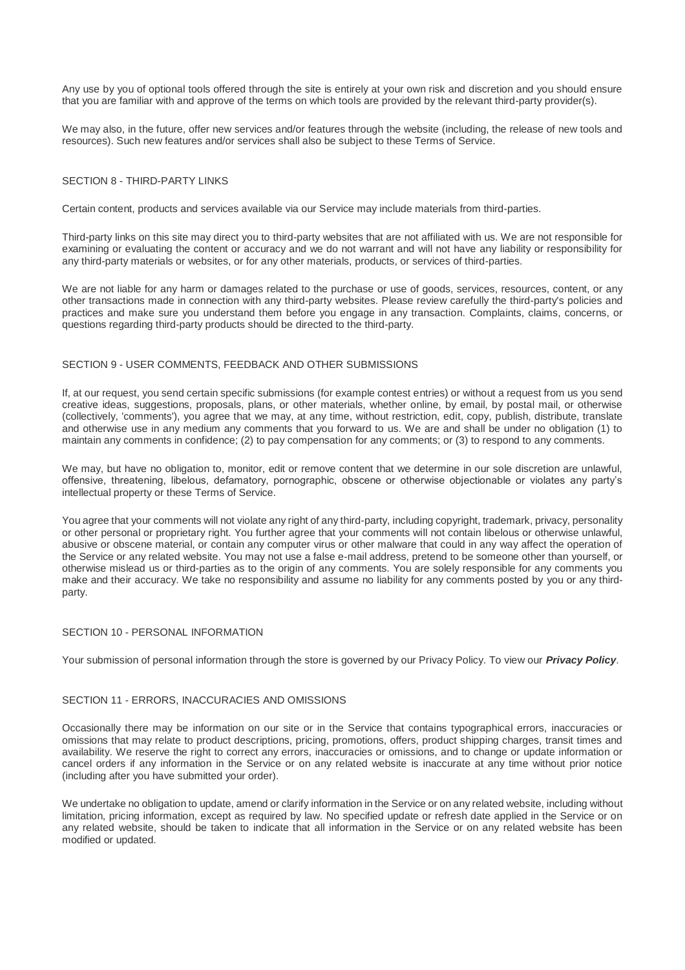Any use by you of optional tools offered through the site is entirely at your own risk and discretion and you should ensure that you are familiar with and approve of the terms on which tools are provided by the relevant third-party provider(s).

We may also, in the future, offer new services and/or features through the website (including, the release of new tools and resources). Such new features and/or services shall also be subject to these Terms of Service.

#### SECTION 8 - THIRD-PARTY LINKS

Certain content, products and services available via our Service may include materials from third-parties.

Third-party links on this site may direct you to third-party websites that are not affiliated with us. We are not responsible for examining or evaluating the content or accuracy and we do not warrant and will not have any liability or responsibility for any third-party materials or websites, or for any other materials, products, or services of third-parties.

We are not liable for any harm or damages related to the purchase or use of goods, services, resources, content, or any other transactions made in connection with any third-party websites. Please review carefully the third-party's policies and practices and make sure you understand them before you engage in any transaction. Complaints, claims, concerns, or questions regarding third-party products should be directed to the third-party.

#### SECTION 9 - USER COMMENTS, FEEDBACK AND OTHER SUBMISSIONS

If, at our request, you send certain specific submissions (for example contest entries) or without a request from us you send creative ideas, suggestions, proposals, plans, or other materials, whether online, by email, by postal mail, or otherwise (collectively, 'comments'), you agree that we may, at any time, without restriction, edit, copy, publish, distribute, translate and otherwise use in any medium any comments that you forward to us. We are and shall be under no obligation (1) to maintain any comments in confidence; (2) to pay compensation for any comments; or (3) to respond to any comments.

We may, but have no obligation to, monitor, edit or remove content that we determine in our sole discretion are unlawful, offensive, threatening, libelous, defamatory, pornographic, obscene or otherwise objectionable or violates any party's intellectual property or these Terms of Service.

You agree that your comments will not violate any right of any third-party, including copyright, trademark, privacy, personality or other personal or proprietary right. You further agree that your comments will not contain libelous or otherwise unlawful, abusive or obscene material, or contain any computer virus or other malware that could in any way affect the operation of the Service or any related website. You may not use a false e-mail address, pretend to be someone other than yourself, or otherwise mislead us or third-parties as to the origin of any comments. You are solely responsible for any comments you make and their accuracy. We take no responsibility and assume no liability for any comments posted by you or any thirdparty.

# SECTION 10 - PERSONAL INFORMATION

Your submission of personal information through the store is governed by our Privacy Policy. To view our *[Privacy Policy](https://docs.wixstatic.com/ugd/119719_4666dd8f90e54b45a689a44cc86305f5.pdf)*.

# SECTION 11 - ERRORS, INACCURACIES AND OMISSIONS

Occasionally there may be information on our site or in the Service that contains typographical errors, inaccuracies or omissions that may relate to product descriptions, pricing, promotions, offers, product shipping charges, transit times and availability. We reserve the right to correct any errors, inaccuracies or omissions, and to change or update information or cancel orders if any information in the Service or on any related website is inaccurate at any time without prior notice (including after you have submitted your order).

We undertake no obligation to update, amend or clarify information in the Service or on any related website, including without limitation, pricing information, except as required by law. No specified update or refresh date applied in the Service or on any related website, should be taken to indicate that all information in the Service or on any related website has been modified or updated.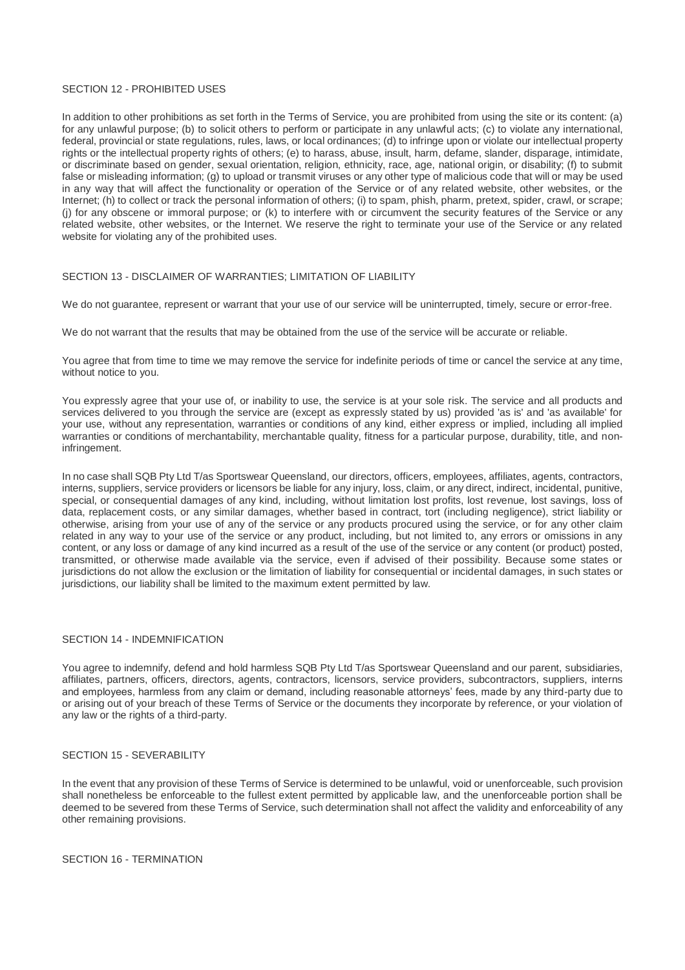## SECTION 12 - PROHIBITED USES

In addition to other prohibitions as set forth in the Terms of Service, you are prohibited from using the site or its content: (a) for any unlawful purpose; (b) to solicit others to perform or participate in any unlawful acts; (c) to violate any international, federal, provincial or state regulations, rules, laws, or local ordinances; (d) to infringe upon or violate our intellectual property rights or the intellectual property rights of others; (e) to harass, abuse, insult, harm, defame, slander, disparage, intimidate, or discriminate based on gender, sexual orientation, religion, ethnicity, race, age, national origin, or disability; (f) to submit false or misleading information; (g) to upload or transmit viruses or any other type of malicious code that will or may be used in any way that will affect the functionality or operation of the Service or of any related website, other websites, or the Internet; (h) to collect or track the personal information of others; (i) to spam, phish, pharm, pretext, spider, crawl, or scrape; (j) for any obscene or immoral purpose; or (k) to interfere with or circumvent the security features of the Service or any related website, other websites, or the Internet. We reserve the right to terminate your use of the Service or any related website for violating any of the prohibited uses.

# SECTION 13 - DISCLAIMER OF WARRANTIES; LIMITATION OF LIABILITY

We do not guarantee, represent or warrant that your use of our service will be uninterrupted, timely, secure or error-free.

We do not warrant that the results that may be obtained from the use of the service will be accurate or reliable.

You agree that from time to time we may remove the service for indefinite periods of time or cancel the service at any time, without notice to you.

You expressly agree that your use of, or inability to use, the service is at your sole risk. The service and all products and services delivered to you through the service are (except as expressly stated by us) provided 'as is' and 'as available' for your use, without any representation, warranties or conditions of any kind, either express or implied, including all implied warranties or conditions of merchantability, merchantable quality, fitness for a particular purpose, durability, title, and noninfringement.

In no case shall SQB Pty Ltd T/as Sportswear Queensland, our directors, officers, employees, affiliates, agents, contractors, interns, suppliers, service providers or licensors be liable for any injury, loss, claim, or any direct, indirect, incidental, punitive, special, or consequential damages of any kind, including, without limitation lost profits, lost revenue, lost savings, loss of data, replacement costs, or any similar damages, whether based in contract, tort (including negligence), strict liability or otherwise, arising from your use of any of the service or any products procured using the service, or for any other claim related in any way to your use of the service or any product, including, but not limited to, any errors or omissions in any content, or any loss or damage of any kind incurred as a result of the use of the service or any content (or product) posted, transmitted, or otherwise made available via the service, even if advised of their possibility. Because some states or jurisdictions do not allow the exclusion or the limitation of liability for consequential or incidental damages, in such states or jurisdictions, our liability shall be limited to the maximum extent permitted by law.

## SECTION 14 - INDEMNIFICATION

You agree to indemnify, defend and hold harmless SQB Pty Ltd T/as Sportswear Queensland and our parent, subsidiaries, affiliates, partners, officers, directors, agents, contractors, licensors, service providers, subcontractors, suppliers, interns and employees, harmless from any claim or demand, including reasonable attorneys' fees, made by any third-party due to or arising out of your breach of these Terms of Service or the documents they incorporate by reference, or your violation of any law or the rights of a third-party.

# SECTION 15 - SEVERABILITY

In the event that any provision of these Terms of Service is determined to be unlawful, void or unenforceable, such provision shall nonetheless be enforceable to the fullest extent permitted by applicable law, and the unenforceable portion shall be deemed to be severed from these Terms of Service, such determination shall not affect the validity and enforceability of any other remaining provisions.

SECTION 16 - TERMINATION